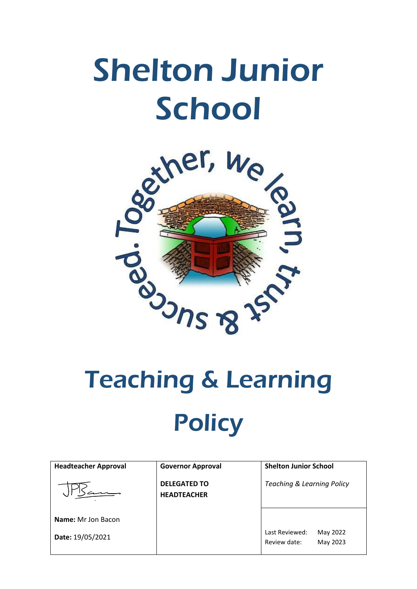## Shelton Junior **School**



# **Policy**

| <b>Headteacher Approval</b> | <b>Governor Approval</b>                  | <b>Shelton Junior School</b>                           |
|-----------------------------|-------------------------------------------|--------------------------------------------------------|
|                             | <b>DELEGATED TO</b><br><b>HEADTEACHER</b> | <b>Teaching &amp; Learning Policy</b>                  |
| <b>Name:</b> Mr Jon Bacon   |                                           |                                                        |
| Date: 19/05/2021            |                                           | Last Reviewed:<br>May 2022<br>May 2023<br>Review date: |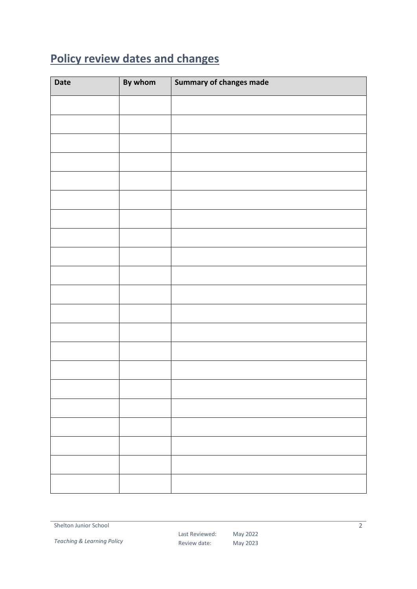### <span id="page-1-0"></span>**Policy review dates and changes**

| <b>Date</b> | By whom | Summary of changes made |
|-------------|---------|-------------------------|
|             |         |                         |
|             |         |                         |
|             |         |                         |
|             |         |                         |
|             |         |                         |
|             |         |                         |
|             |         |                         |
|             |         |                         |
|             |         |                         |
|             |         |                         |
|             |         |                         |
|             |         |                         |
|             |         |                         |
|             |         |                         |
|             |         |                         |
|             |         |                         |
|             |         |                         |
|             |         |                         |
|             |         |                         |
|             |         |                         |
|             |         |                         |

*Teaching & Learning Policy*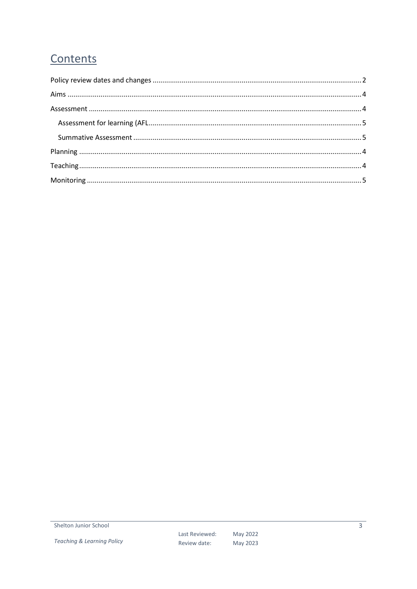#### Contents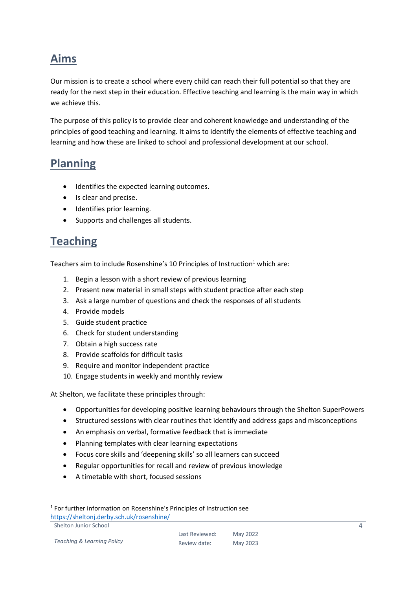#### <span id="page-3-0"></span>**Aims**

Our mission is to create a school where every child can reach their full potential so that they are ready for the next step in their education. Effective teaching and learning is the main way in which we achieve this.

The purpose of this policy is to provide clear and coherent knowledge and understanding of the principles of good teaching and learning. It aims to identify the elements of effective teaching and learning and how these are linked to school and professional development at our school.

#### <span id="page-3-1"></span>**Planning**

- $\bullet$  Identifies the expected learning outcomes.
- Is clear and precise.
- **•** Identifies prior learning.
- <span id="page-3-2"></span>• Supports and challenges all students.

#### **Teaching**

Teachers aim to include Rosenshine's 10 Principles of Instruction<sup>1</sup> which are:

- 1. Begin a lesson with a short review of previous learning
- 2. Present new material in small steps with student practice after each step
- 3. Ask a large number of questions and check the responses of all students
- 4. Provide models
- 5. Guide student practice
- 6. Check for student understanding
- 7. Obtain a high success rate
- 8. Provide scaffolds for difficult tasks
- 9. Require and monitor independent practice
- 10. Engage students in weekly and monthly review

At Shelton, we facilitate these principles through:

- Opportunities for developing positive learning behaviours through the Shelton SuperPowers
- Structured sessions with clear routines that identify and address gaps and misconceptions
- An emphasis on verbal, formative feedback that is immediate
- Planning templates with clear learning expectations
- Focus core skills and 'deepening skills' so all learners can succeed
- Regular opportunities for recall and review of previous knowledge
- A timetable with short, focused sessions

Shelton Junior School

1

<sup>&</sup>lt;sup>1</sup> For further information on Rosenshine's Principles of Instruction see <https://sheltonj.derby.sch.uk/rosenshine/>